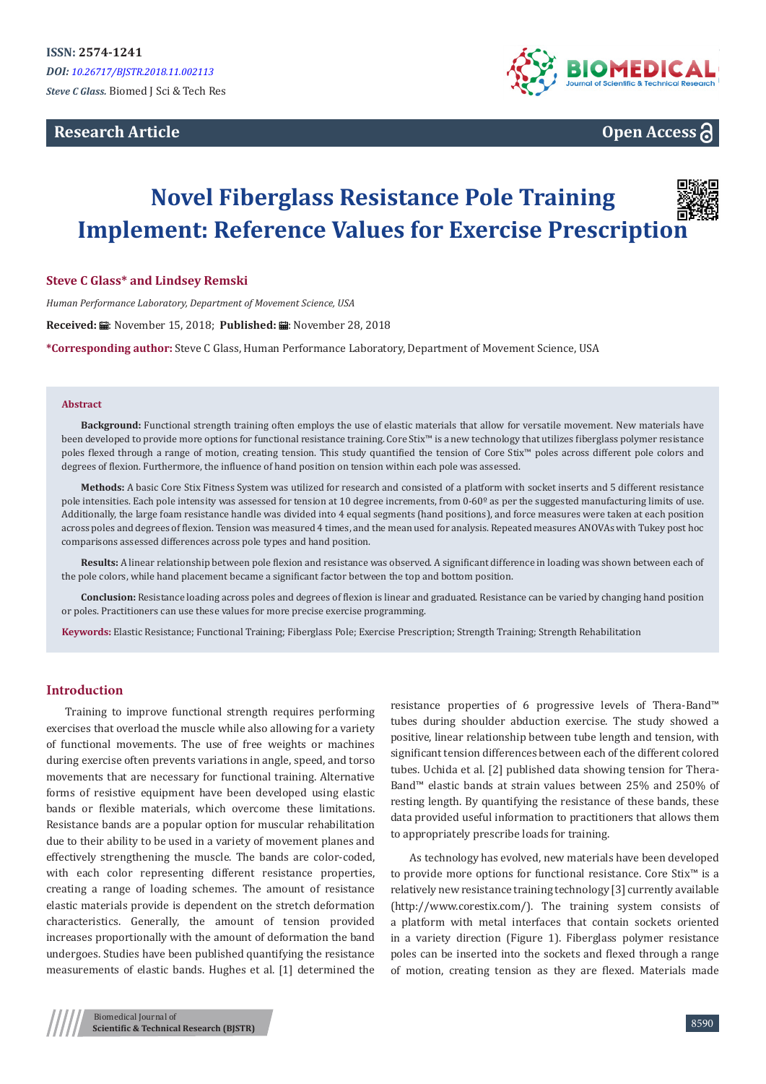# **Research Article**



# **Open Access**

# **Novel Fiberglass Resistance Pole Training Implement: Reference Values for Exercise Prescription**

# **Steve C Glass\* and Lindsey Remski**

*Human Performance Laboratory, Department of Movement Science, USA*

Received: *:* . November 15, 2018; Published: . November 28, 2018

**\*Corresponding author:** Steve C Glass, Human Performance Laboratory, Department of Movement Science, USA

#### **Abstract**

**Background:** Functional strength training often employs the use of elastic materials that allow for versatile movement. New materials have been developed to provide more options for functional resistance training. Core Stix™ is a new technology that utilizes fiberglass polymer resistance poles flexed through a range of motion, creating tension. This study quantified the tension of Core Stix™ poles across different pole colors and degrees of flexion. Furthermore, the influence of hand position on tension within each pole was assessed.

**Methods:** A basic Core Stix Fitness System was utilized for research and consisted of a platform with socket inserts and 5 different resistance pole intensities. Each pole intensity was assessed for tension at 10 degree increments, from 0-60<sup>o</sup> as per the suggested manufacturing limits of use. Additionally, the large foam resistance handle was divided into 4 equal segments (hand positions), and force measures were taken at each position across poles and degrees of flexion. Tension was measured 4 times, and the mean used for analysis. Repeated measures ANOVAs with Tukey post hoc comparisons assessed differences across pole types and hand position.

**Results:** A linear relationship between pole flexion and resistance was observed. A significant difference in loading was shown between each of the pole colors, while hand placement became a significant factor between the top and bottom position.

**Conclusion:** Resistance loading across poles and degrees of flexion is linear and graduated. Resistance can be varied by changing hand position or poles. Practitioners can use these values for more precise exercise programming.

**Keywords:** Elastic Resistance; Functional Training; Fiberglass Pole; Exercise Prescription; Strength Training; Strength Rehabilitation

# **Introduction**

Training to improve functional strength requires performing exercises that overload the muscle while also allowing for a variety of functional movements. The use of free weights or machines during exercise often prevents variations in angle, speed, and torso movements that are necessary for functional training. Alternative forms of resistive equipment have been developed using elastic bands or flexible materials, which overcome these limitations. Resistance bands are a popular option for muscular rehabilitation due to their ability to be used in a variety of movement planes and effectively strengthening the muscle. The bands are color-coded, with each color representing different resistance properties, creating a range of loading schemes. The amount of resistance elastic materials provide is dependent on the stretch deformation characteristics. Generally, the amount of tension provided increases proportionally with the amount of deformation the band undergoes. Studies have been published quantifying the resistance measurements of elastic bands. Hughes et al. [1] determined the

resistance properties of 6 progressive levels of Thera-Band™ tubes during shoulder abduction exercise. The study showed a positive, linear relationship between tube length and tension, with significant tension differences between each of the different colored tubes. Uchida et al. [2] published data showing tension for Thera-Band™ elastic bands at strain values between 25% and 250% of resting length. By quantifying the resistance of these bands, these data provided useful information to practitioners that allows them to appropriately prescribe loads for training.

As technology has evolved, new materials have been developed to provide more options for functional resistance. Core Stix™ is a relatively new resistance training technology [3] currently available (http://www.corestix.com/). The training system consists of a platform with metal interfaces that contain sockets oriented in a variety direction (Figure 1). Fiberglass polymer resistance poles can be inserted into the sockets and flexed through a range of motion, creating tension as they are flexed. Materials made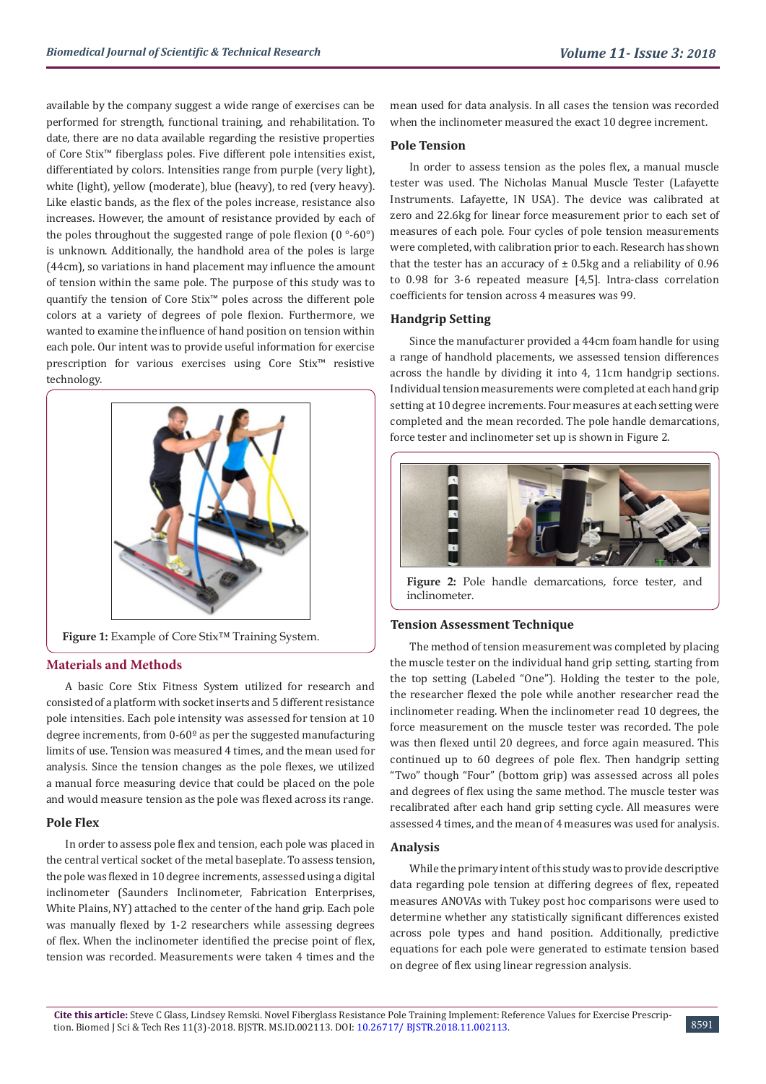available by the company suggest a wide range of exercises can be performed for strength, functional training, and rehabilitation. To date, there are no data available regarding the resistive properties of Core Stix™ fiberglass poles. Five different pole intensities exist, differentiated by colors. Intensities range from purple (very light), white (light), yellow (moderate), blue (heavy), to red (very heavy). Like elastic bands, as the flex of the poles increase, resistance also increases. However, the amount of resistance provided by each of the poles throughout the suggested range of pole flexion  $(0°-60°)$ is unknown. Additionally, the handhold area of the poles is large (44cm), so variations in hand placement may influence the amount of tension within the same pole. The purpose of this study was to quantify the tension of Core Stix™ poles across the different pole colors at a variety of degrees of pole flexion. Furthermore, we wanted to examine the influence of hand position on tension within each pole. Our intent was to provide useful information for exercise prescription for various exercises using Core Stix™ resistive technology.



# **Figure 1:** Example of Core Stix™ Training System.

# **Materials and Methods**

A basic Core Stix Fitness System utilized for research and consisted of a platform with socket inserts and 5 different resistance pole intensities. Each pole intensity was assessed for tension at 10 degree increments, from  $0.60^\circ$  as per the suggested manufacturing limits of use. Tension was measured 4 times, and the mean used for analysis. Since the tension changes as the pole flexes, we utilized a manual force measuring device that could be placed on the pole and would measure tension as the pole was flexed across its range.

# **Pole Flex**

In order to assess pole flex and tension, each pole was placed in the central vertical socket of the metal baseplate. To assess tension, the pole was flexed in 10 degree increments, assessed using a digital inclinometer (Saunders Inclinometer, Fabrication Enterprises, White Plains, NY) attached to the center of the hand grip. Each pole was manually flexed by 1-2 researchers while assessing degrees of flex. When the inclinometer identified the precise point of flex, tension was recorded. Measurements were taken 4 times and the mean used for data analysis. In all cases the tension was recorded when the inclinometer measured the exact 10 degree increment.

# **Pole Tension**

In order to assess tension as the poles flex, a manual muscle tester was used. The Nicholas Manual Muscle Tester (Lafayette Instruments. Lafayette, IN USA). The device was calibrated at zero and 22.6kg for linear force measurement prior to each set of measures of each pole. Four cycles of pole tension measurements were completed, with calibration prior to each. Research has shown that the tester has an accuracy of  $\pm$  0.5kg and a reliability of 0.96 to 0.98 for 3-6 repeated measure [4,5]. Intra-class correlation coefficients for tension across 4 measures was 99.

# **Handgrip Setting**

Since the manufacturer provided a 44cm foam handle for using a range of handhold placements, we assessed tension differences across the handle by dividing it into 4, 11cm handgrip sections. Individual tension measurements were completed at each hand grip setting at 10 degree increments. Four measures at each setting were completed and the mean recorded. The pole handle demarcations, force tester and inclinometer set up is shown in Figure 2.



Figure 2: Pole handle demarcations, force tester, and inclinometer.

# **Tension Assessment Technique**

The method of tension measurement was completed by placing the muscle tester on the individual hand grip setting, starting from the top setting (Labeled "One"). Holding the tester to the pole, the researcher flexed the pole while another researcher read the inclinometer reading. When the inclinometer read 10 degrees, the force measurement on the muscle tester was recorded. The pole was then flexed until 20 degrees, and force again measured. This continued up to 60 degrees of pole flex. Then handgrip setting "Two" though "Four" (bottom grip) was assessed across all poles and degrees of flex using the same method. The muscle tester was recalibrated after each hand grip setting cycle. All measures were assessed 4 times, and the mean of 4 measures was used for analysis.

# **Analysis**

While the primary intent of this study was to provide descriptive data regarding pole tension at differing degrees of flex, repeated measures ANOVAs with Tukey post hoc comparisons were used to determine whether any statistically significant differences existed across pole types and hand position. Additionally, predictive equations for each pole were generated to estimate tension based on degree of flex using linear regression analysis.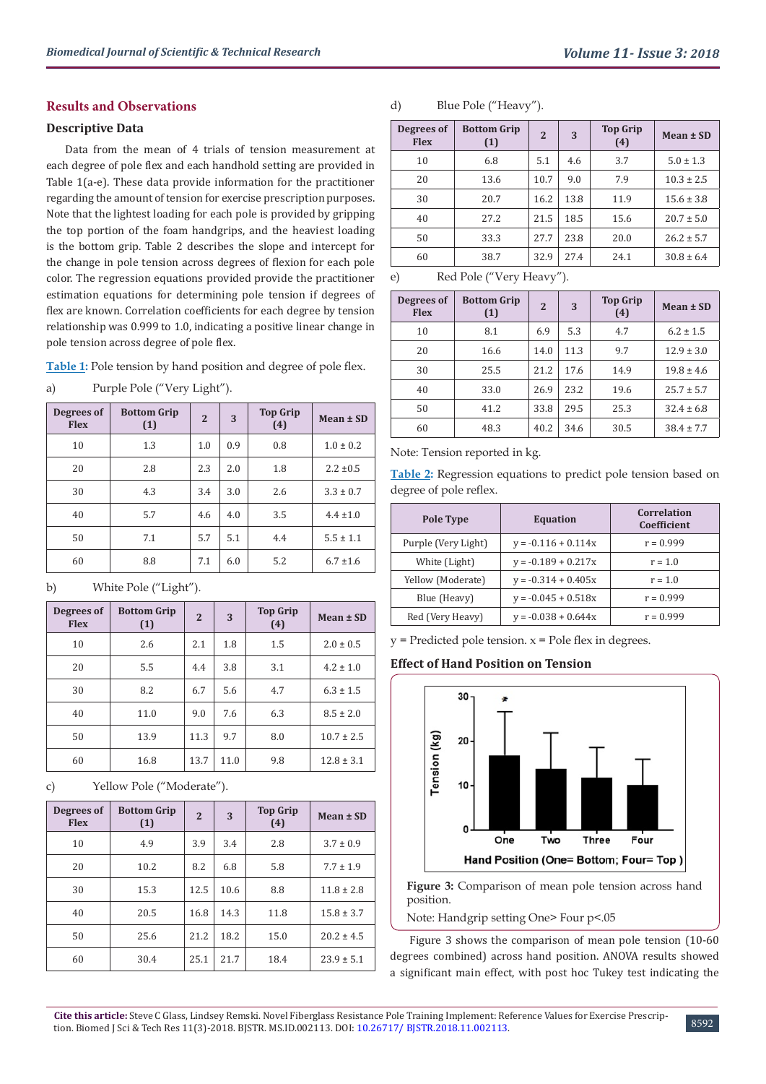# **Results and Observations**

# **Descriptive Data**

Data from the mean of 4 trials of tension measurement at each degree of pole flex and each handhold setting are provided in Table 1(a-e). These data provide information for the practitioner regarding the amount of tension for exercise prescription purposes. Note that the lightest loading for each pole is provided by gripping the top portion of the foam handgrips, and the heaviest loading is the bottom grip. Table 2 describes the slope and intercept for the change in pole tension across degrees of flexion for each pole color. The regression equations provided provide the practitioner estimation equations for determining pole tension if degrees of flex are known. Correlation coefficients for each degree by tension relationship was 0.999 to 1.0, indicating a positive linear change in pole tension across degree of pole flex.

**Table 1:** Pole tension by hand position and degree of pole flex.

| Degrees of<br><b>Flex</b> | <b>Bottom Grip</b><br>(1) | $\overline{2}$ | 3   | <b>Top Grip</b><br>(4) | Mean $\pm$ SD |
|---------------------------|---------------------------|----------------|-----|------------------------|---------------|
| 10                        | 1.3                       | 1.0            | 0.9 | 0.8                    | $1.0 \pm 0.2$ |
| 20                        | 2.8                       | 2.3            | 2.0 | 1.8                    | $2.2 \pm 0.5$ |
| 30                        | 4.3                       | 3.4            | 3.0 | 2.6                    | $3.3 \pm 0.7$ |
| 40                        | 5.7                       | 4.6            | 4.0 | 3.5                    | $4.4 \pm 1.0$ |
| 50                        | 7.1                       | 5.7            | 5.1 | 4.4                    | $5.5 \pm 1.1$ |
| 60                        | 8.8                       | 7.1            | 6.0 | 5.2                    | $6.7 \pm 1.6$ |

a) Purple Pole ("Very Light").

# b) White Pole ("Light").

| Degrees of<br><b>Flex</b> | <b>Bottom Grip</b><br>(1) | $\overline{2}$ | 3    | <b>Top Grip</b><br>(4) | Mean $\pm$ SD  |
|---------------------------|---------------------------|----------------|------|------------------------|----------------|
| 10                        | 2.6                       | 2.1            | 1.8  | 1.5                    | $2.0 \pm 0.5$  |
| 20                        | 5.5                       | 4.4            | 3.8  | 3.1                    | $4.2 \pm 1.0$  |
| 30                        | 8.2                       | 6.7            | 5.6  | 4.7                    | $6.3 \pm 1.5$  |
| 40                        | 11.0                      | 9.0            | 7.6  | 6.3                    | $8.5 \pm 2.0$  |
| 50                        | 13.9                      | 11.3           | 9.7  | 8.0                    | $10.7 \pm 2.5$ |
| 60                        | 16.8                      | 13.7           | 11.0 | 9.8                    | $12.8 \pm 3.1$ |

c) Yellow Pole ("Moderate").

| Degrees of<br><b>Flex</b> | <b>Bottom Grip</b><br>(1) | $\overline{2}$ | 3    | <b>Top Grip</b><br>(4) | Mean $\pm$ SD  |
|---------------------------|---------------------------|----------------|------|------------------------|----------------|
| 10                        | 4.9                       | 3.9            | 3.4  | 2.8                    | $3.7 \pm 0.9$  |
| 20                        | 10.2                      | 8.2            | 6.8  | 5.8                    | $7.7 \pm 1.9$  |
| 30                        | 15.3                      | 12.5           | 10.6 | 8.8                    | $11.8 \pm 2.8$ |
| 40                        | 20.5                      | 16.8           | 14.3 | 11.8                   | $15.8 \pm 3.7$ |
| 50                        | 25.6                      | 21.2           | 18.2 | 15.0                   | $20.2 \pm 4.5$ |
| 60                        | 30.4                      | 25.1           | 21.7 | 18.4                   | $23.9 \pm 5.1$ |

# d) Blue Pole ("Heavy").

| Degrees of<br><b>Flex</b> | <b>Bottom Grip</b><br>(1) | $\overline{2}$ | 3    | <b>Top Grip</b><br>(4) | Mean $\pm$ SD  |
|---------------------------|---------------------------|----------------|------|------------------------|----------------|
| 10                        | 6.8                       | 5.1            | 4.6  | 3.7                    | $5.0 \pm 1.3$  |
| 20                        | 13.6                      | 10.7           | 9.0  | 7.9                    | $10.3 \pm 2.5$ |
| 30                        | 20.7                      | 16.2           | 13.8 | 11.9                   | $15.6 \pm 3.8$ |
| 40                        | 27.2                      | 21.5           | 18.5 | 15.6                   | $20.7 \pm 5.0$ |
| 50                        | 33.3                      | 27.7           | 23.8 | 20.0                   | $26.2 \pm 5.7$ |
| 60                        | 38.7                      | 32.9           | 27.4 | 24.1                   | $30.8 \pm 6.4$ |

e) Red Pole ("Very Heavy").

| Degrees of<br><b>Flex</b> | <b>Bottom Grip</b><br>(1) | $\overline{2}$ | 3    | <b>Top Grip</b><br>(4) | Mean $\pm$ SD  |
|---------------------------|---------------------------|----------------|------|------------------------|----------------|
| 10                        | 8.1                       | 6.9            | 5.3  | 4.7                    | $6.2 \pm 1.5$  |
| 20                        | 16.6                      | 14.0           | 11.3 | 9.7                    | $12.9 \pm 3.0$ |
| 30                        | 25.5                      | 21.2           | 17.6 | 14.9                   | $19.8 \pm 4.6$ |
| 40                        | 33.0                      | 26.9           | 23.2 | 19.6                   | $25.7 \pm 5.7$ |
| 50                        | 41.2                      | 33.8           | 29.5 | 25.3                   | $32.4 \pm 6.8$ |
| 60                        | 48.3                      | 40.2           | 34.6 | 30.5                   | $38.4 \pm 7.7$ |

Note: Tension reported in kg.

**Table 2:** Regression equations to predict pole tension based on degree of pole reflex.

| Pole Type           | <b>Equation</b>       | Correlation<br>Coefficient |
|---------------------|-----------------------|----------------------------|
| Purple (Very Light) | $y = -0.116 + 0.114x$ | $r = 0.999$                |
| White (Light)       | $y = -0.189 + 0.217x$ | $r = 1.0$                  |
| Yellow (Moderate)   | $v = -0.314 + 0.405x$ | $r = 1.0$                  |
| Blue (Heavy)        | $v = -0.045 + 0.518x$ | $r = 0.999$                |
| Red (Very Heavy)    | $v = -0.038 + 0.644x$ | $r = 0.999$                |

 $y =$  Predicted pole tension.  $x =$  Pole flex in degrees.

# **Effect of Hand Position on Tension**



Figure 3: Comparison of mean pole tension across hand position.

Note: Handgrip setting One> Four p<.05

Figure 3 shows the comparison of mean pole tension (10-60 degrees combined) across hand position. ANOVA results showed a significant main effect, with post hoc Tukey test indicating the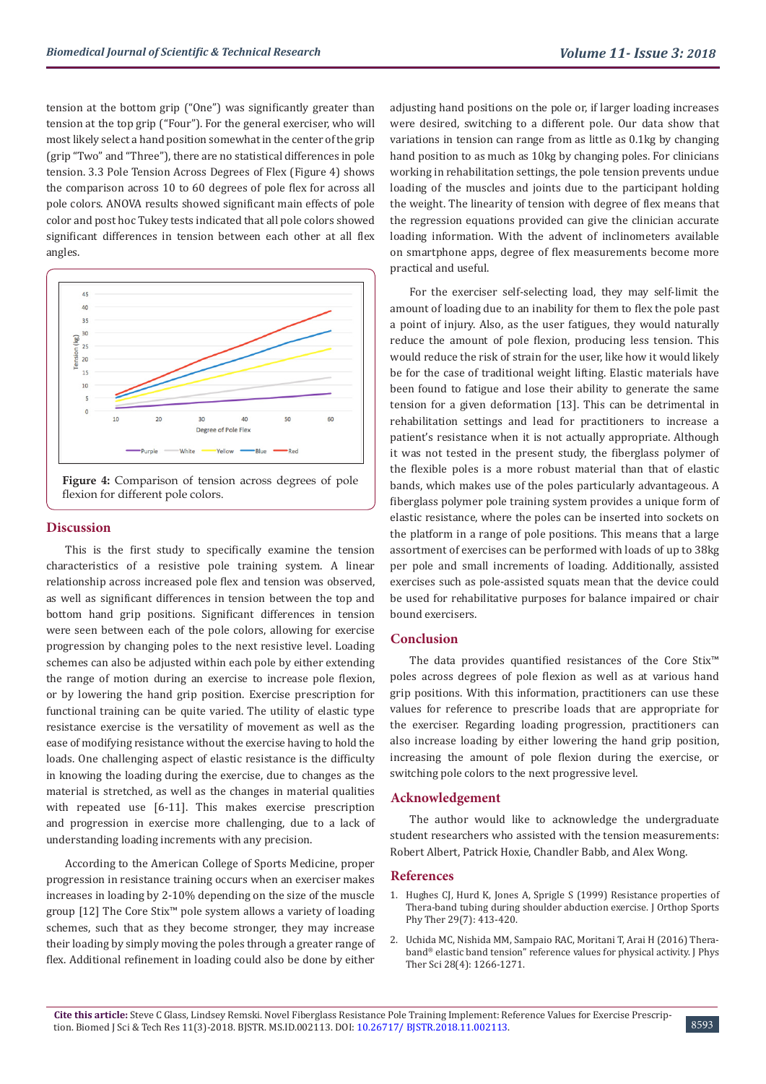tension at the bottom grip ("One") was significantly greater than tension at the top grip ("Four"). For the general exerciser, who will most likely select a hand position somewhat in the center of the grip (grip "Two" and "Three"), there are no statistical differences in pole tension. 3.3 Pole Tension Across Degrees of Flex (Figure 4) shows the comparison across 10 to 60 degrees of pole flex for across all pole colors. ANOVA results showed significant main effects of pole color and post hoc Tukey tests indicated that all pole colors showed significant differences in tension between each other at all flex angles.





# **Discussion**

This is the first study to specifically examine the tension characteristics of a resistive pole training system. A linear relationship across increased pole flex and tension was observed, as well as significant differences in tension between the top and bottom hand grip positions. Significant differences in tension were seen between each of the pole colors, allowing for exercise progression by changing poles to the next resistive level. Loading schemes can also be adjusted within each pole by either extending the range of motion during an exercise to increase pole flexion, or by lowering the hand grip position. Exercise prescription for functional training can be quite varied. The utility of elastic type resistance exercise is the versatility of movement as well as the ease of modifying resistance without the exercise having to hold the loads. One challenging aspect of elastic resistance is the difficulty in knowing the loading during the exercise, due to changes as the material is stretched, as well as the changes in material qualities with repeated use [6-11]. This makes exercise prescription and progression in exercise more challenging, due to a lack of understanding loading increments with any precision.

According to the American College of Sports Medicine, proper progression in resistance training occurs when an exerciser makes increases in loading by 2-10% depending on the size of the muscle group [12] The Core Stix™ pole system allows a variety of loading schemes, such that as they become stronger, they may increase their loading by simply moving the poles through a greater range of flex. Additional refinement in loading could also be done by either

adjusting hand positions on the pole or, if larger loading increases were desired, switching to a different pole. Our data show that variations in tension can range from as little as 0.1kg by changing hand position to as much as 10kg by changing poles. For clinicians working in rehabilitation settings, the pole tension prevents undue loading of the muscles and joints due to the participant holding the weight. The linearity of tension with degree of flex means that the regression equations provided can give the clinician accurate loading information. With the advent of inclinometers available on smartphone apps, degree of flex measurements become more practical and useful.

For the exerciser self-selecting load, they may self-limit the amount of loading due to an inability for them to flex the pole past a point of injury. Also, as the user fatigues, they would naturally reduce the amount of pole flexion, producing less tension. This would reduce the risk of strain for the user, like how it would likely be for the case of traditional weight lifting. Elastic materials have been found to fatigue and lose their ability to generate the same tension for a given deformation [13]. This can be detrimental in rehabilitation settings and lead for practitioners to increase a patient's resistance when it is not actually appropriate. Although it was not tested in the present study, the fiberglass polymer of the flexible poles is a more robust material than that of elastic bands, which makes use of the poles particularly advantageous. A fiberglass polymer pole training system provides a unique form of elastic resistance, where the poles can be inserted into sockets on the platform in a range of pole positions. This means that a large assortment of exercises can be performed with loads of up to 38kg per pole and small increments of loading. Additionally, assisted exercises such as pole-assisted squats mean that the device could be used for rehabilitative purposes for balance impaired or chair bound exercisers.

### **Conclusion**

The data provides quantified resistances of the Core Stix™ poles across degrees of pole flexion as well as at various hand grip positions. With this information, practitioners can use these values for reference to prescribe loads that are appropriate for the exerciser. Regarding loading progression, practitioners can also increase loading by either lowering the hand grip position, increasing the amount of pole flexion during the exercise, or switching pole colors to the next progressive level.

### **Acknowledgement**

The author would like to acknowledge the undergraduate student researchers who assisted with the tension measurements: Robert Albert, Patrick Hoxie, Chandler Babb, and Alex Wong.

#### **References**

- 1. [Hughes CJ, Hurd K, Jones A, Sprigle S \(1999\) Resistance properties of](https://www.ncbi.nlm.nih.gov/pubmed/10416181) [Thera-band tubing during shoulder abduction exercise. J Orthop Sports](https://www.ncbi.nlm.nih.gov/pubmed/10416181) [Phy Ther 29\(7\): 413-420.](https://www.ncbi.nlm.nih.gov/pubmed/10416181)
- 2. [Uchida MC, Nishida MM, Sampaio RAC, Moritani T, Arai H \(2016\) Thera](https://www.ncbi.nlm.nih.gov/pmc/articles/PMC4868225/)band® [elastic band tension" reference values for physical activity. J Phys](https://www.ncbi.nlm.nih.gov/pmc/articles/PMC4868225/) [Ther Sci 28\(4\): 1266-1271.](https://www.ncbi.nlm.nih.gov/pmc/articles/PMC4868225/)

8593